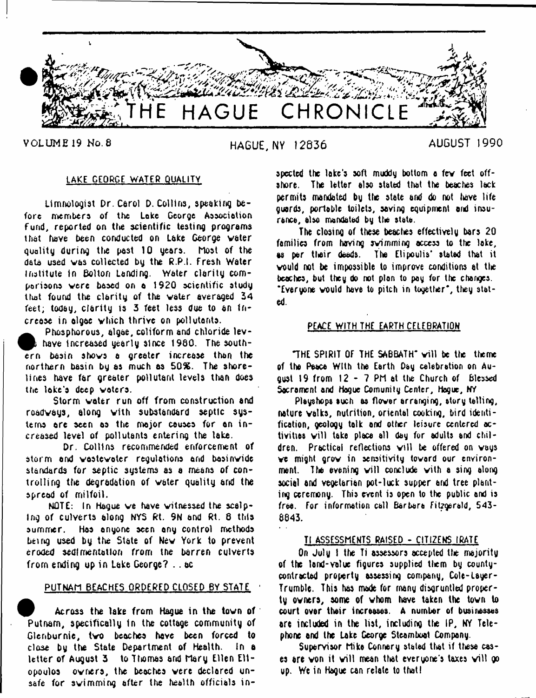

VOLUME 19 No. 8 **HAGUE, NY 12836 AUGUST 1990**

## LAKE GEORGE WATER QUALITY

Limnologist Dr. Carol D. Collins, speaking before members of the Lake George Association fund, reported on the scientific testing programs that have been conducted on Lake George water quality during the past 10 years. Most of the data used was collected by the R.P.I. Fresh Water institute in Bolton Landing. Water clarity comparisons were based on a 1920 scientific study that found the clarity of the water averaged 34 feet; today, clarity is 3 feet less due to an in crease in algae which thrive on pollutants.

Phosphorous, algae, coliform and chloride levhave increased yearly since 1980. The southern basin shows a greater increase than the northern basin by as much as 50%. The shorelines have far greater pollutant levels then does the loke'a deep waters.

Storm water run off from construction and roadways, along with substandard septic systems are seen as the mojor causes for an in creased level of pollutants entering the take.

Dr. Collins recommended enforcement of storm and wastewater regulations and basinwide standards for septic systems as a means of controlling the degradation of water quality and the spread of milfoil.

NOTE: In Hague we have witnessed the scalping of culverts along NYS Rt. 9N and Rt. 8 this summer. Has anyone seen any control methods being used by the State of New York to prevent eroded sedimentation from the barren culverts from ending up in Lake George? .. ac

# PUTNAM BEACHES ORDERED CLOSED BY STATE

Across the lake from Hague in the town of Putnam, specifically In the cottage community of Glenburnie, two beaches have been forced to close by the State Department of Health. In a letter of August 3 to Thomas arid Mary Ellen E11 opoulos owners, the beaches were declared unsafe for swimming after the health officials in

spected the lake's soft muddy bottom a few feet offshore. The letter also stated that the beaches lack permits mandated by the state and do not have life guards, portable toilets, saving equipment and insurance, also mandated by the state.

The closing of these beaches effectively bars 20 families from haying swimming access to the lake, as per their deeds. The Elipoulis' stated that it would not be impossible to improve conditions at the beaches, but they do not plon to pay for the changes. ' Everyone would have to pitch in together\*, they stated.

## PEACE WITH THE EARTH CELEBRATION

THE SPIRIT OF THE SABBATH" will be the theme of the Peace With the Earth Day celebration on August 19 from 12 - 7 PM at the Church of blessed Sacrament and Hogue Comunity Center, Hogue, NY

Pleyshops such as flower arranging, story telling, nature walks, nutrition, oriental cooking, bird identification, geology talk and otter leisure centered activities will take place all day for adults and children. Practical reflections will be offered on ways we might grow in sensitivity toward our environment. The evening will conclude with a sing along social and vegetarian pot-luck supper end tree planting ceremony. This event is open to the public and is free. For information call Barbara Fitzgerald, 543- 8843.

#### Tl ASSESSMENTS RAISED - CITIZENS IRATE

On July 1 the Ti assessors accepted the majority of the land-value figures supplied them by countycontracted property assessing company, Colt-Layer-Trumble. This has made for many disgruntled property owners, some of whom have taken the town to court ovar their increases. A number of businesses are included in the list, including the IP, NY Telephone and the Lake George Steamboat Company.

Supervisor Mike Connery stated that if these cases are won it will mean that everyone's taxes will go up. We in Hague can relate to that!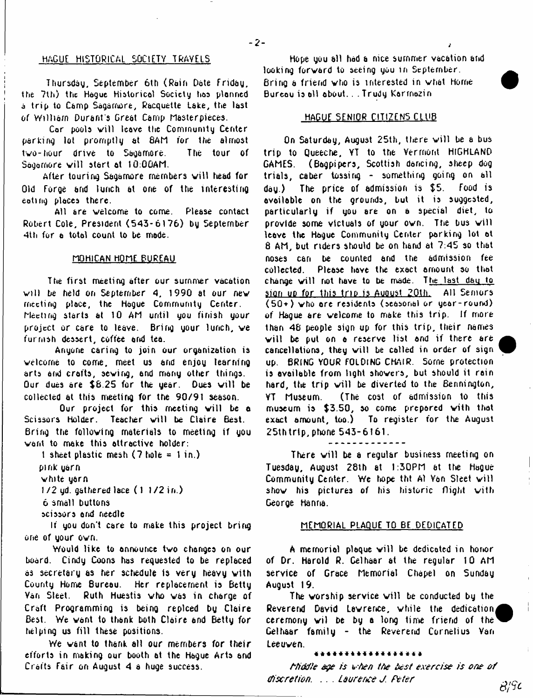#### HAGUE HISTORICAL SOCIETY TRAVELS

Thursday, September 6th (Rain Date Friday, the 7th) the Hogue Historical Society has planned a trip to Camp Sagamore, Racquette Lake, the last of William Durant's Great Camp Masterpieces.

Cor pools will leave the Community Center parking lot promptly at 8AM for the almost two-hour drive to Sagamore. The tour of Sagamore will start at 10:00AM.

After touring Sagamore members will head for Old Forge and lunch at one of the interesting eating places there.

All are welcome to come. Please contact Robert Cole, President (543-6176) by September 4th for a total count to be made.

## MOHICAN HOME BUREAU

The first meeting after our summer vacation will be held on September 4, 1990 at our new meeting place, the Hague Community Center. Meeting starts at 10 AM until you finish your project or care to leave. Bring gour lunch, we fur nish dessert, coffee end tea.

Anyone caring to join our organization is welcome to come, meet us and enjoy learning arts and crafts, sewing, and many other things. Our dues are  $$8.25$  for the year. Dues will be collected at this meeting for the 90/91 season.

Our project for this meeting will be a Scissors Holder. Teacher will be Claire Best. Bring the following materials to meeting if you vent to make this attractive holder:

1 sheet plastic mesh  $(7 \text{ hole} = 1 \text{ in.})$ 

pink yarn

vhite yarn

 $1/2$  yd. gathered lace  $(1.1/2$  in.)

6 small buttons

scissors end needle

If you don't care to make this project bring one of your ovn.

Would like to announce tvo changes on our board. Cindy Coons has requested to be replaced as secretary as her schedule is very heavy vith County Home Bureau. Her replacement is Betty Van Sleet. Ruth Huestis vho vas in charge of Craft Programming is being replced by Claire Best. We want to thank both Claire and Betty for helping us fill these positions.

We vant to thank all our members for their efforts in making our booth at the Hague Arts and Crafts Fair on August 4 a huge success.

Hope you all had a nice summer vacation attd looking forvard to seeing you in September. Bring a friend who is interested in what Home Bureau is oil about. . .Trudy Karrnozin

- 2 - *i*

#### HAGUF SENIOR CITIZENS CLUB

On Saturday, August 25th, there will be a bus trip to Queeche, YT to the Vermont HIGHLAND GAMES. (Bagpipers, Scottish dancing, sheep dog trials, caber tossing - something going on all day.) The price of admission is \$5. Food is available on the grounds, but it is suggested, particularly if you are on a special diet, to provide some victuals of your own. The bus will leave the Hague Community Center parking lot at 8 AM, but riders should be on hand at 7:45 so that noses can be counted and the admission fee collected. Please have the exact amount so that change will not have to be made. The last day to sion up for this trip is August 20th. All Semors (50+) vho ore residents (seasonal or year-round) of Hague are velcome to make this trip. If more than 48 people sign up for this trip, their names will be put on a reserve list and if there are cancellations, they will be called in order of sign up. BRING VOUR FOLDING CHAIR. Some protection is available from light showers, but should it rain hard, the trip will be diverted to the Bennington, VT Museum. (The cost of admission to this museum is \$3.50, so come prepared with that exact amount, too.) To register for the August 25thtrip, phone 543-6161.

There will be a regular business meeting on Tuesday, August 28th at 1:30PM at the Hogue Community Center. We hope tht Al Van Sleet will shov his pictures *of* his historic flight with George Hanna.

#### MEMORIAL PLAQUE TO BE DEDICATED

A memorial plaque will be dedicated in honor of Dr. Harold R. Celhaar at the regular 10 AM service of Grace Memorial Chapel on Sunday August I 9.

The worship service will be conducted by the Reverend David Lawrence, while the dedication ceremony wil be by a long time friend of the  $^{\prime}$ Gelhaar family - the Reverend Cornelius Van Leeuven.

#### \*\*\*\*\*\*\*\*\*\*\*\*\*\*

*tti& f'e ege is i-ten tte test exercise is one o f discretion.* . . . *Laurerce J. Peter*  $B/9c$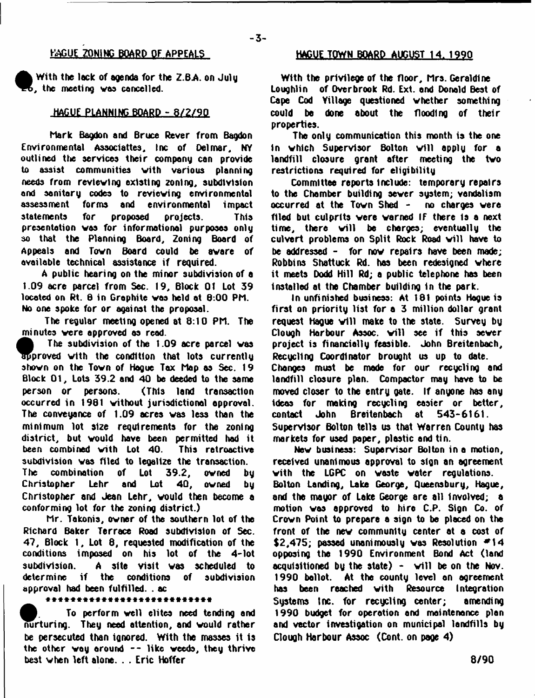## - **3**-

# **KAGUE ZONING BOARD OF APPEALS**

**With the leek of agenda for the Z.BA. on July , the meeting was cancelled.**

## **HAGUE PLANNING BOARD - 8 /2 /9 0**

**Mark Bagdon and Bruce Rever from Bagdon Environmental Associattes, Inc of Del mar, NY outlined the services their company can provide to assist communities vith various planning needs from reviewing existing zoning, subdivision and sanitary codes to reviewing environmental assessment forma and environmental impact statements for proposed projects. This presentation was for informational purposes only so that the Planning Board, Zoning Board of Appeals and Town Board could be aware of available technical assistance if required.**

**A public hearing on the minor subdivision of a 1.09 acre parcel from Sec. 19, Block 01 Lot 39 located on Rt. 8 in Grophite was held at B:00 PM. No one spoke for or against the proposal.**

**The regular meeting opened at 8:10 PM. The minutes were approved os read.**

**The subdivision of the T.09 acre parcel was<br>
approved with the condition that lots currently<br>
shown on the Town of Hague Tax Map as Sec. 19 | The subdivision of the 1.09 acre parcel was proved with the condition that lots currently Block 01 , Lots 39.2 and 40 be deeded to the same person or persons. (This land transaction occurred in 1961 without jurisdictional opproval. The conveyance of 1.09 acres was less than the minimum lot size requirements for the zoning district, but would have been permitted hod it** been combined with Lot 40. **subdivision was filed to tegalize the transaction. The combination of Lot 39.2, owned by Christopher Lehr and Lot 40, owned by Christopher and Jean Lehr, would then become a conforming lot for the zoning district.)**

**Mr. Takonis, owner of the southern lot of the Richard Baker Terrace Road subdivision of Sec. 47, Block 1, Lot 8, requested modification of the conditions imposed on his lot of the 4-1ot subdivision. A site visit was scheduled to determine if the conditions of subdivision approval had been fulfilled. . ac**

#### \*\*\*\*\*\*\*\*\*\*\*\*\*\*\*\*\*\*\*\*\*\*\*\*\*\*\*

**To perform well elites need tending and nurturing. They need attention, and would rather be persecuted than ianored. With the masses it is the other voy around — like weeds, they thrive best when left alone. . . Eric Hoffer**

## **HACUETOWN BOARD AUGUST 14. 1990**

**With the privilege of the floor, Mrs. Geraldine Loughlin of Overbrook Rd. Ext. and Donold Best of Cape Cod Yillage questioned whether something could be done about the flooding of their properties.**

**The only communication this month is the one in which Supervisor Bolton will apply for a landfill closure grant after meeting the two restrictions required for eligibility**

**Committee reports Include: temporary repairs to the Chamber building sever system; vandalism occurred at the Town Shed - no charges were filed but culprits were warned If there Is a next time, there will be charges; eventually the** culvert problems on Split Rock Road will have to **be addressed - for now repairs have been made; Robbins Shattuck Rd. has been redesigned where it meets Dodd Hill Rd; a public telephone has been installed at the Chamber building in the park.**

**In unfinished business: At 181 points Hague is first on priority list for a 3 million dollar grant** request Haque will make to the state. Survey by **Clough Harbour Assoc, w ill see if this sever project is financially feasible. John Breitenbach, Recycling Coordinator brought us up to date. Changes must be made for our recycling and landfill closure plan. Compactor may have to be moved closer to the entry oate. If anyone h8s any ideas for making recycling easier or better,** contact John Breitenbach at 543-6161. **Supervisor Bolton tells us that Warren County has markets for used paper, plastic and tin.**

**New business: Supervisor Bolton in a motion, received unanimous approval to sign an agreement vith the LGPC on waste water regulations. Bolton Landing, Lake George, Queensbury, Hague, and the mayor of Lake George are all Involved; a motion was approved to hire C.P. Sign Co. of Crown Point to prepare a sign to be placed on the front of the new community center at a cost of \$2,475; passed unanimously was Resolution \* 1 4 opposing the 1990 Environment Bond Act (land acqufsitloned by the state) - w ill be on the Nov. 1990 bollot. At the county level on agreement has been reached with Resource Integration Systems tnc. for recycling center; amending 1990 budget for operotion ond maintenance plan and vector investigation on municipal landfills by Clough Harbour Assoc (Cont. on page 4)**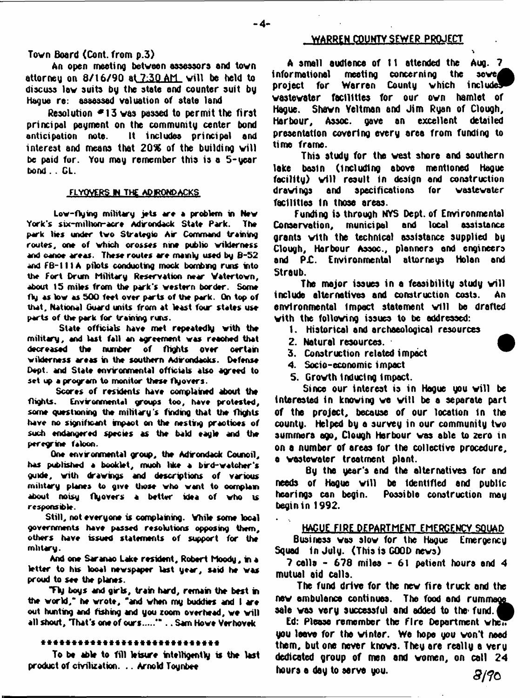# **Town Board (Cont. from p.3)**

**An open meeting between assessors and town attorney on 8 /1 6 /9 0 at 7:30 AM v ill be held to discuss low suite by the state and counter suit by Hague re: assessed valuation of state land**

**Resolution \* 1 3 was passed to permit the first principal payment on the community center bond anticipation note. It includes principal and** interest and means that 20% of the building will **be paid for. You may remember this is** a **5 - year bond. . CL.**

#### FLYOVERS IN THE AQIRONDACKS

Low-flying military jets are a problem in New York's six-milhofr-acre Adirondack State Park. The park lies under two Strategic Air Command training routes, one of which orosses nine public wilderness and oanoe areas. These routes are mainly used by B-52 and FB-111A pilots conducting mock bombing runs into the Fort Drum Military Reservation near Watertown, about IS miles from the park's western border. Some fly as low as 500 feet over parts of the park. On top of that. National Guard units from at least four states use parts of the park for training runs.

State officials have met repeatedly with the military, and last fall an agreement was reached that decreased the number of flights over certain wilderness areas in the southern Adrondacks. Defense Dept, and State environmental officials also agreed to set up a program to monitor these flyovers.

Scores of residents have complained about the flights. Environmental groups too, have protested, some questioning the military's finding that the flights have no significant impact on the nesting practices of such endangered species as the bald eagle and the peregrine falcon.

One environmental group, the Adirondack Council, has published a booklet, muoh like a bird-w atcher's guide, with drawings and descriptions of various military planes to give those who want to complain about noisy flyovers a better idea of who is responsible.

Still, not everyone is complaining. While some local governments have passed resolutions opposing them, others have issued statements of support for the mlitary.

And one Saranao Lake resident, Robert Moody, in a letter to his looal newspaper last year, said he was proud to see the planes.

Thy boys and girls, train hard, remain the best in the world," he wrote, "and when my buddies and I are out hunting and fishing and you zoom overhead, we will all shout, "That's one of ours....."" . . Sam Howe Verhovek

#### \*\*\*\*\*\*\*\*\*\*\*\*\*\*\*\*\*\*\*\*\*\*\*\*\*\*\*\*

**To be able to fill leisure intelligently is the last product of civilization. .. Arnold Toyrtee**

## **WARREN COUNTY SEWER PROJECT**

'i

**A small audience of 11 attended the Aug. 7** informational meeting concerning the sewer **informational** meeting concerning the sewer project for Warren County which **wastewater facilities for our ovn hamlet of Hague. Shawn Veltman and Jim Ryan of Clough, Harbour, Assoc, gave an excellent detailed presentation covering every erea from funding to time frame.**

**This study for the vest shore end southern lake basin (including above mentioned Hague facility) w ill result In design and construction** drawings and specifications **facilities in those areas.**

**Funding is through NYS Dept, of Environmental Conservation, municipal grants with the technical assistance supplied by Clough, Harbour Assoc., planners ond engineers and PjC. Environmental attorneys Holan and Straub.**

**The major issues in a feasibility study will**<br>In alternatives and construction costs. An **include alternatives end construction costs. An** environmental impact statement will be drafted with the following issues to be addressed:

- **1. Historical and archaeological resources**
- **2. Natural resources.**
- **3. Construction related impact**
- **4. Socio-economic impact**
- **5. Growth Inducing impact.**

Since our interest is in Hague you will be interested in knowing we will be a separate part **of the project, because of our location in the county. Helped by e survey in our community two summers ago, Clough Harbour was able to** 2**ero in on a number of areas for the collective procedure, e wastewater treatment plant.**

**By the year's end the alternatives for and** needs of Hague will be identified and public **hearings can begin. Possible construction may begin in 1992.**

#### HAGUE FIRE DEPARTMENT EMERGENCY SQUAD

**Business was slow for the Hague Emergency Squad In July. (This is GOOD news)**

**7 cells - 678 miles - 61 patient hours snd 4 mutual aid calls.**

**The fund drive for the nev fire truck and the** new ambulance continues. The food and rummage **sale was very successful and added to the- fund. A**

Ed: Please remember the fire Department when **you leave for the winter. We hope you won't need them, but one never knows. They are really a very dedicated group of men and women, on call 24 hours e day to serve you. 5 /? C**

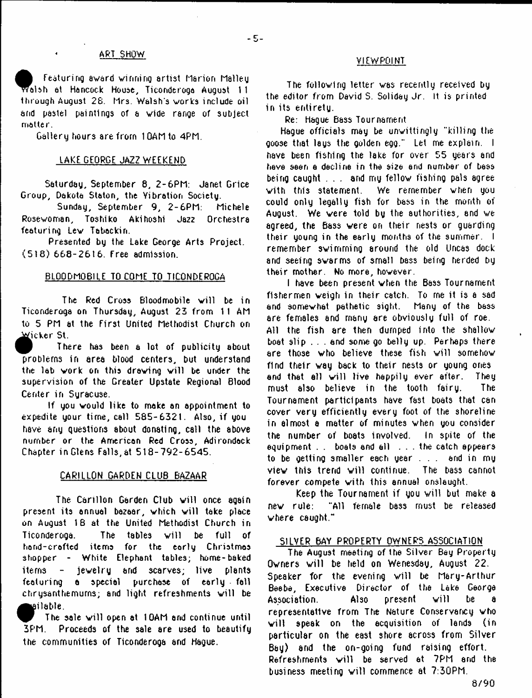#### ART SHOW

**f** Featuring award winning artist Marion Malley<br> **Francish at Hancock House, Ticonderoga August 11<br>
through August 28. Mrs. Walsh's works include oil** | Featuring award winning artist Marion Malley alsh at Hancock House, Ticonderoga August *\* 1 and pastel paintings of a wide range of subject matter.

Gallery hours are from 1 OAM to 4PM.

#### LAKE GEORGE JAZZ WEEKEND

Saturday, September 8, 2 - 6PM: Janet Grice Group, Dakota Staton, the Vibration Society.

Sunday, September 9, 2-6PM: Michele Rosewoman, Toshiko Akihoshi Jazz Orchestra featuring Lew Tabackin.

Presented by the Lake George Arts Project. (518) 668-2616. Free admission.

## BLOODMOBILE TO COME TO TICONDEROGA

The Red Cross Bloodmobile will be in Ticonderoga on Thursday, August 23 from 11 AM to 5 PM at the First United Methodist Church on Micker St.

There has been a lot of publicity about problems in area blood centers, but understand the lab work on this drawing will be under the supervision of the Greater Upstate Regional Blood Center in Syracuse.

If you would like to make an appointment to expedite your time, call 585-6321. Also, if you have any questions about donating, call the above number or the American Red Cross, Adirondack Chapter in Glens Falls, at 518-792-6545.

#### CARILLON GARDEN CLUB BAZAAR

The Carillon Garden Club will once again present its annual bazaar, which will take place on August 18 at the United Methodist Church in Ticonderoga. The tables w ill be full of hand-crafted items for the early Christmas shopper - White Elephant tables; home-baked items - jewelry and scarves; live plants featuring a special purchase of early fall chrysanthemums; and light refreshments will be liable.

The sale will open at 10AM and continue until 3PM. Proceeds of the sale are used to beautify the communities of Ticonderoga and Hague.

#### VIEWPOINT

The following letter was recently received by the editor from David S. Soliday Jr. It is printed in its entirety.

Re: Hague Bass Tournament

Hague officials may be unwittingly "killing the goose that lays the golden egg." Let me explain. I have been fishing the lake for over 55 years and have seen a decline in the size end number of bass being caught . . . and my fellow fishing pals agree with this statement. We remember when you could only legally fish for bass in the month of August. We were told by the authorities, end we agreed, the Bass were on their nests or guarding their young in the early months of the summer. I remember swimming around the old Uncas dock 8rid seeing swarms of small bass being herded by their mother. No more, however.

I have been present when the Bass Tournament fishermen weigh in their catch. To rne it is a sad and somewhat pathetic sight. Many of the bass are females and many are obviously full of roe. All the fish are then dumped into the shallow boat slip . . . and some go belly up. Perhaps there are those who believe these fish will somehow find their way back to their nests or young ones and that all will live happily ever after. They must also believe in the tooth fairy. The Tournament participants have fast boats that can cover very efficiently every foot of the shoreline in almost a matter of minutes when you consider the number of boats involved. In spite of the equipment . . boats end all . . . the catch appears to be getting smaller each year . . . arid in my view this trend will continue. The bass cannot forever compete vith this annual onslaught.

Keep the Tournament if you will but make a new rule: "All female bass must be released where caught."

# SILVER BAY PROPERTY OWNERS ASSOCIATION

The August meeting of the Silver Bey Property Owners will be held on Wenesday, August 22. Speaker for the evening will be Mary-Arthur Beebe, Executive Director of the Lake George Association. Also present will be a representative from The Nature Conservancy vho will speak on the acquisition of lands (in particular on the east shore across from Silver Bay) and the on-going fund raising effort. Refreshments will be served at 7PM and the business meeting will commence at 7:30PM.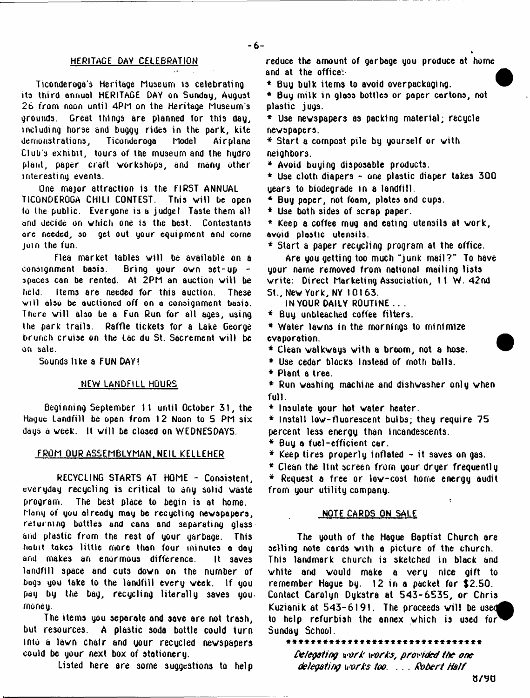#### HERITAGE DAY CELEBRATION

Ticonderoga's Heritage Museum is celebrating its third annual HERITAGE DAY on Sunday, August 26 from noon until 4PM on the Heritage Museum's grounds. Great things are planned for this day, including horse and buggy rides in the park, kite demonstrations, Club's exhibit, tours of the museum and the hudro plant, paper craft workshops, and many other interesting events.

One major attraction is the FIRST ANNUAL TICONDEROGA CHILI CONTEST. This will be open to the public. Everyone is a judge! Taste them all and decide on which one is the best. Contestants are needed, so get out your equipment and corne join the fun.

Flea market tables will be available on a consignment basis. Bring your own set-up spaces can be rented. At 2PM an auction will be held. Items are needed for this auction. These will also be auctioned off on a consignment basis. There will also be a Fun Run for all ages, using the park trails. Raffle tickets for a Lake George brunch cruise on the Lac du St. Sacrement will be on sale.

Sounds like a FUN DAY!

#### NEW LANDFILL HOURS

Beginning September 11 until October 31, the Hague Landfill be open from 12 Noon to 5 PM six days a week. It will be closed on WEDNESDAYS.

#### FROM OUR ASSEMBLYMAN. NEIL KELLEHER

RECYCLING STARTS AT HOME - Consistent, everyday recycling is critical to any solid waste program. The best place to begin is at home. Many of you already may be recycling newspapers, returning bottles and cans and separating glass and plastic from the rest of your garbage. This habit takes little more than four minutes a day and makes an enormous difference. It saves landfill space and cuts down on the number of bogs you take to the landfill every week. If you pay by the bag, recycling literally saves you money.

The items you separate and save are not trash, but resources. A plastic soda bottle could turn into a lawn chair and your recycled newspapers could be your next box of stationery.

Listed here are some suggestions to help

reduce the amount of garbage you produce at home and at the office.

\* Buy bulk items to avoid over packaging.

\* Buy milk in gloss bottles or paper cartons, not plastic jugs.

\* Use newspapers as packing material; recycle newspapers.

\* Start a compost pile by yourself or with neighbors.

4 Avoid buying disposable products.

4 Use cloth diapers - one plastic diaper takes 300 uears to biodegrade in a landfill.

*\** Buy paper, not foam, plates and cups.

*\** Use both sides of scrap paper.

\* Keep a coffee rnug and eating utensils at work, avoid plastic utensils.

\* Start a paper recycling program at the office.

Are you getting too much "junk mail?" To have your name removed from national mailing lists write: Direct Marketing Association, I t W. 42nd St., New York, NY 10163.

IN YOUR DAILY ROUTINE .. .

\* Buy unbleached coffee filters.

\* Water lawns in the mornings to minimize evaporation.

\* Clean walkways with a broom, not a hose.

\* Use cedar blocks instead of rnoth balls.

*\** **Plant a tree.**

\* Run washing machine and dishwasher only when full.

\* Insulate your hot water heater.

\* Install low-fluorescent bulbs; they require 75 percent less energy than incandescents.

\* Buy a fuel-efficient car.

\* Keep tires properly inflated  $\sim$  it saves on gas.

\* Clean the lint screen from your dryer frequently

4 Request a free or low-cost home energy audit from your utility company.

#### NOTE CARDS ON SALE

The youth of the Hague Baptist Church are selling note cards with a picture of the church. This landmark church is sketched in black and white and would make a veru nice gift to remember Hague by. 12 in a packet for \$2.50. Contact Carolyn Dykstra at 543-6535, or Chris Kuzianik at  $543-6191$ . The proceeds will be used to help refurbish the annex which is used for Sunday School.

\*\*\*\*\*\*\*\*\*\*\*\*\*\*\*\*\*\*\*\*\*\*\*\*

*Megating* t*rork works, provided the one delegating works too.* ... *Robert Half*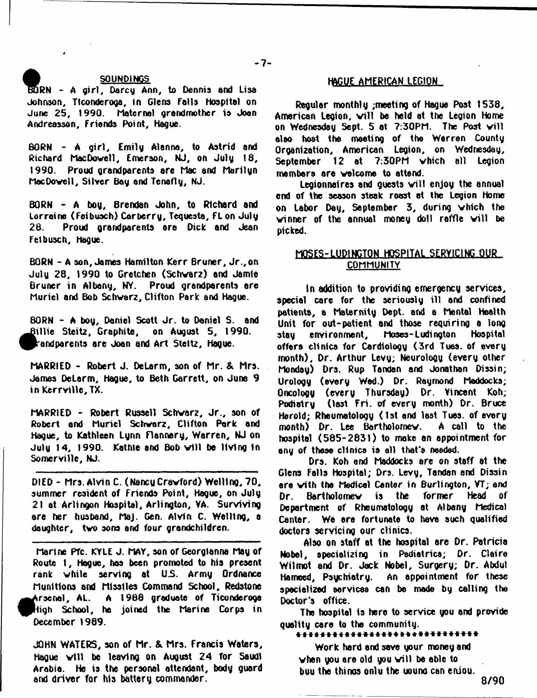#### **■ V SOUNDINGS**

**BORN** - A girl, Darcy Ann, to Dennis and Lisa **Johnson, Ticonderoga, in Glens Falls hospital on June 25, 1990. Maternal grandmother is Joan Andreasson, Friends Point, Hague.**

BORN - A girl, Emily Alanna, to Astrid and **Richard Mac Dowell, Emerson, NJ, on July 18, 1990. Proud grandparents are Mac and Marilyn Mac Dove 11, Silver Bay and Tenafly, NJ.**

**BORN - A hoy, Brendan John, to Richard and Lorraine (Feibusch) Car berry, Tequesta, FLon July 28. Proud grandparents are Dick and Jean Feibusch, Hague.**

BORN - A son, James Hamilton Kerr Bruner, Jr., on **Julu 28, 1990 to Gretchen (5chvar2) and Jamie Bruner in Albony, NY. Proud grandparents ore Muriel and Bob Schwarz, Clifton Park and Hague.**

**BORN - A boy, Daniel Scott Jr. to Daniel S. and ^ ^ illie Steit**2 **, Graphite, on August 5, 1990. ^Prandparents are Joan and Art Stem , Hague.**

**MARRIED - Robert J. DeLarm, son of Mr. & Mrs. James DeLarm, Hague, to Beth Garrett, on June 9** in Kerrville, TX.

MARRIED - Robert Russell Schwarz, Jr., son of **Robert and Muriel Schwarz, Clifton Pork and Hague, to Kathleen Lynn Flannery, Warren, NJ on** July 14, 1990. Kathle and Bob will be living in **Somerville, NJ.**

**DIED - Mrs. Alvin C. (Nancy Crawford) Welling, 70, summer resident of Friends Point, Hogue, on July 21 at Arlingon Hospital, Arlington, VA. Surviving are her hushand, MaJ. Gen. Alvin C. Welling, a daughter, two sons and four grandchildren.**

**Marine Pfc. KYLE J. MAY, son of Georglanna May of Route t , Hague, has been promoted to his present rank while serving at U.S. Army Ordnance Munitions and Missiles Command School, Redstone ^^trsen al, AL. A 19B6 graduate of Ticonderoga ^PHigh School, ha joined the Marine Corps in December 1989.**

**JOHN WATERS, son of Mr. & Mrs. Francis Waters, Hague w ill be leaving on August 24 for Saudi Arabia. He is the personal attendant, body guard and driver for his battery commander.**

# **HAGUE AMERICAN LEGION**

**Regular monthly ;meeting of Hague Post 1538, American Legion, w ill be held at the Legion Home on Wednesday Sept. 5 at 7:30PM. The Post will also boat the meeting of the Warren County Organization, American Legion, on Wednesday, September 12 at 7:30PM which all Legion members are welcome to attend.**

Legionnaires and quests will enjoy the annual **end of the season steak roost at the Legion Home on Labor Day, September 3, during which the** winner of the annual money doll raffle will be **picked.**

# **MOSES- LUDINCTQN HQSPlIALSIRYiQMLQUR, COMMUNITY**

**In addition to providing emergency services, special care for the seriously ill and confined patients, a Maternity Dept, and a Mental Health Unit for out-patient and those requiring a long stay environment, Moses-Ludington Hospital** offers clinics for Cardiology (3rd Tues. of every **month). Dr. Arthur Levy; Neurology (every other Monday) Drs. Rup Tandan and Jonathan Dissin; Urology (every Wed.) Dr. Raymond Meddocks; Oncology (every Thursday) Dr. Vincent Koh; Podiatry (last Fri. of every month) Dr. Bruce Herold; Rheumatology (1st and last Tues. of every month) Dr. Lee Bartholomew. A call to the hospitol (585-2831) to make an appointment for any of these clinics is all that's needed.**

**Drs. Koh and Maddocks are on staff at the Glens Falls Hospital; Drs. Levy, Tandan and Dissin are vith the Medical Center in Burlington, YT; and Dr. Bartholomew is the former Head of Department of Rheumatology at Albany Medical Center. We ere fortunate to have such qualified doctors servicing our clinics.**

**Also on staff at the hospital are Dr. Patricia Nobel, specializing in Pediatrics; Dr. Claire Wilmot and Dr. Jack Nobel, Surgery; Dr. Abdul Hameed, Psychiatry. An appointment for these specialized services can be made by calling the Doctor's office.**

**Tho hospital is here to service you and provide quality cere to the community.**

\*\*\*\*\*\*\*\*\*\*\*\*\*\*\*\*\*\*\*\*\*\*\*\* \*\*\*\*\*\*

**Work hard and save your money and when you are old you will be able to buu the thinos onlu the uouno can eniou.**

**8/90**